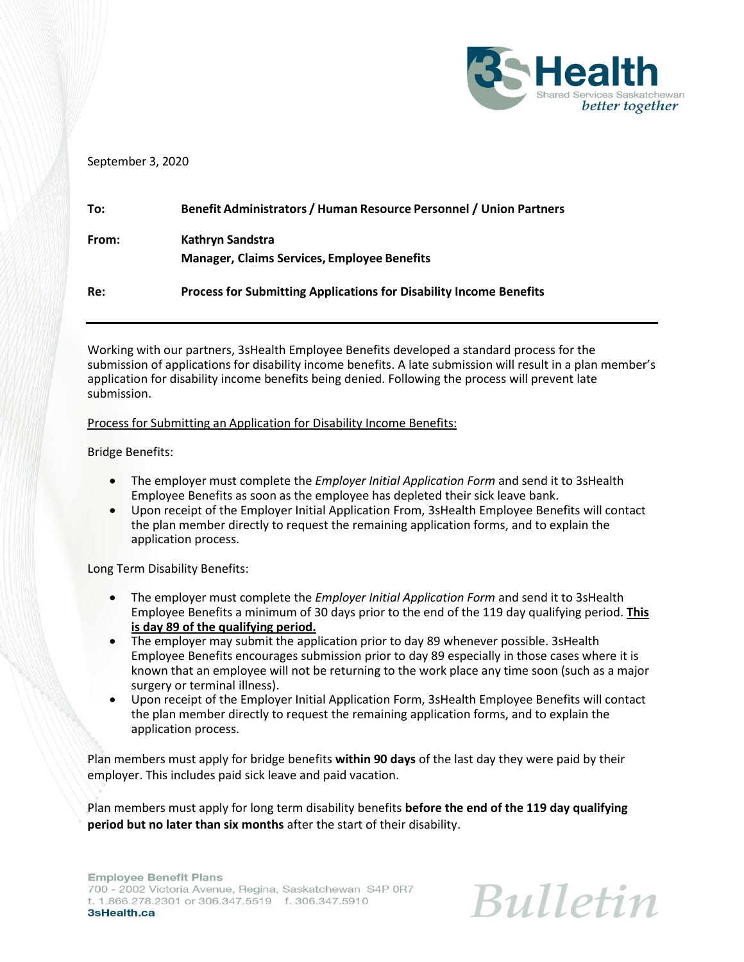

### September 3, 2020

| To:   | Benefit Administrators / Human Resource Personnel / Union Partners        |
|-------|---------------------------------------------------------------------------|
| From: | Kathryn Sandstra<br><b>Manager, Claims Services, Employee Benefits</b>    |
| Re:   | <b>Process for Submitting Applications for Disability Income Benefits</b> |

Working with our partners, 3sHealth Employee Benefits developed a standard process for the submission of applications for disability income benefits. A late submission will result in a plan member's application for disability income benefits being denied. Following the process will prevent late submission.

Process for Submitting an Application for Disability Income Benefits:

Bridge Benefits:

- The employer must complete the *Employer Initial Application Form* and send it to 3sHealth Employee Benefits as soon as the employee has depleted their sick leave bank.
- Upon receipt of the Employer Initial Application From, 3sHealth Employee Benefits will contact the plan member directly to request the remaining application forms, and to explain the application process.

Long Term Disability Benefits:

- The employer must complete the *Employer Initial Application Form* and send it to 3sHealth Employee Benefits a minimum of 30 days prior to the end of the 119 day qualifying period. **This is day 89 of the qualifying period.**
- The employer may submit the application prior to day 89 whenever possible. 3sHealth Employee Benefits encourages submission prior to day 89 especially in those cases where it is known that an employee will not be returning to the work place any time soon (such as a major surgery or terminal illness).
- Upon receipt of the Employer Initial Application Form, 3sHealth Employee Benefits will contact the plan member directly to request the remaining application forms, and to explain the application process.

Plan members must apply for bridge benefits **within 90 days** of the last day they were paid by their employer. This includes paid sick leave and paid vacation.

Plan members must apply for long term disability benefits **before the end of the 119 day qualifying period but no later than six months** after the start of their disability.